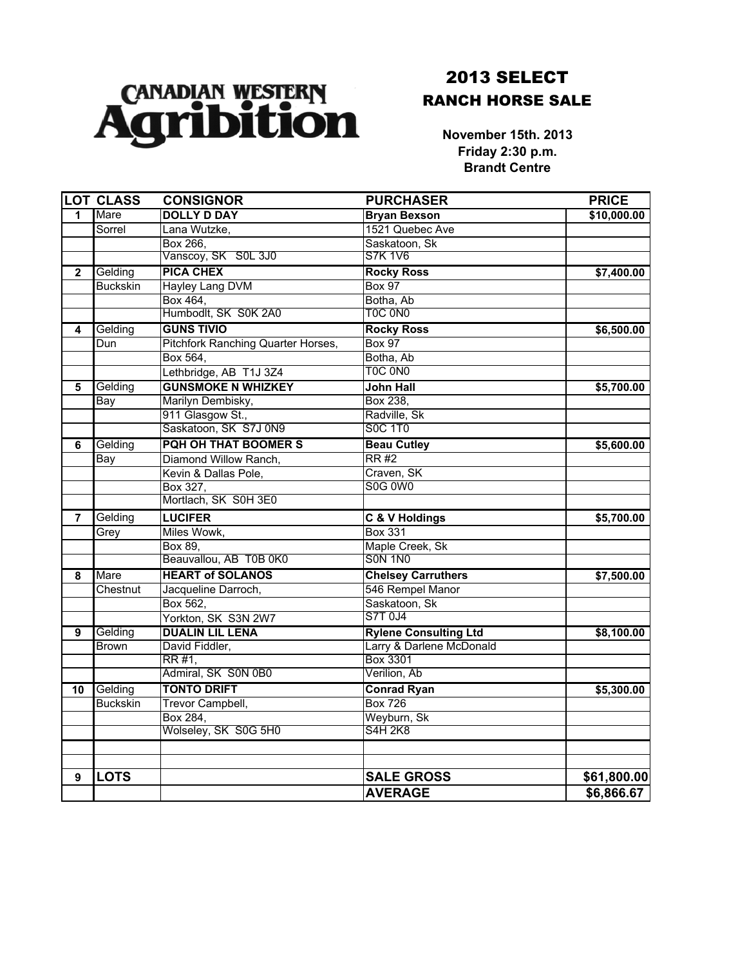

## 2013 SELECT RANCH HORSE SALE

**November 15th. 2013 Friday 2:30 p.m. Brandt Centre**

|                | <b>LOT CLASS</b> | <b>CONSIGNOR</b>                          | <b>PURCHASER</b>             | <b>PRICE</b> |
|----------------|------------------|-------------------------------------------|------------------------------|--------------|
| 1              | Mare             | <b>DOLLY D DAY</b>                        | <b>Bryan Bexson</b>          | \$10,000.00  |
|                | Sorrel           | Lana Wutzke,                              | 1521 Quebec Ave              |              |
|                |                  | Box 266.                                  | Saskatoon, Sk                |              |
|                |                  | Vanscoy, SK S0L 3J0                       | S7K 1V6                      |              |
| $\mathbf{2}$   | Gelding          | <b>PICA CHEX</b>                          | <b>Rocky Ross</b>            | \$7,400.00   |
|                | <b>Buckskin</b>  | <b>Hayley Lang DVM</b>                    | <b>Box 97</b>                |              |
|                |                  | Box 464,                                  | Botha, Ab                    |              |
|                |                  | Humbodlt, SK S0K 2A0                      | TOC ONO                      |              |
| 4              | Gelding          | <b>GUNS TIVIO</b>                         | <b>Rocky Ross</b>            | \$6,500.00   |
|                | Dun              | <b>Pitchfork Ranching Quarter Horses,</b> | <b>Box 97</b>                |              |
|                |                  | Box 564,                                  | Botha, Ab                    |              |
|                |                  | Lethbridge, AB T1J 3Z4                    | TOC ONO                      |              |
| 5              | Gelding          | <b>GUNSMOKE N WHIZKEY</b>                 | <b>John Hall</b>             | \$5,700.00   |
|                | <b>Bay</b>       | Marilyn Dembisky,                         | Box 238.                     |              |
|                |                  | 911 Glasgow St.,                          | Radville, Sk                 |              |
|                |                  | Saskatoon, SK S7J 0N9                     | <b>SOC 1T0</b>               |              |
| 6              | Gelding          | <b>PQH OH THAT BOOMER S</b>               | <b>Beau Cutley</b>           | \$5,600.00   |
|                | Bay              | Diamond Willow Ranch,                     | RR#2                         |              |
|                |                  | Kevin & Dallas Pole,                      | Craven, SK                   |              |
|                |                  | Box 327.                                  | <b>S0G 0W0</b>               |              |
|                |                  | Mortlach, SK S0H 3E0                      |                              |              |
| $\overline{7}$ | Gelding          | <b>LUCIFER</b>                            | C & V Holdings               | \$5,700.00   |
|                | Grey             | Miles Wowk,                               | <b>Box 331</b>               |              |
|                |                  | Box 89,                                   | Maple Creek, Sk              |              |
|                |                  | Beauvallou, AB T0B 0K0                    | <b>SON 1NO</b>               |              |
| 8              | Mare             | <b>HEART of SOLANOS</b>                   | <b>Chelsey Carruthers</b>    | \$7,500.00   |
|                | Chestnut         | Jacqueline Darroch,                       | 546 Rempel Manor             |              |
|                |                  | Box 562,                                  | Saskatoon, Sk                |              |
|                |                  | Yorkton, SK S3N 2W7                       | S7T 0J4                      |              |
| 9              | Gelding          | <b>DUALIN LIL LENA</b>                    | <b>Rylene Consulting Ltd</b> | \$8,100.00   |
|                | <b>Brown</b>     | David Fiddler,                            | Larry & Darlene McDonald     |              |
|                |                  | RR #1,                                    | <b>Box 3301</b>              |              |
|                |                  | Admiral, SK S0N 0B0                       | Verilion, Ab                 |              |
| 10             | Gelding          | <b>TONTO DRIFT</b>                        | <b>Conrad Ryan</b>           | \$5,300.00   |
|                | <b>Buckskin</b>  | <b>Trevor Campbell,</b>                   | <b>Box 726</b>               |              |
|                |                  | Box 284,                                  | Weyburn, Sk                  |              |
|                |                  | Wolseley, SK S0G 5H0                      | S4H 2K8                      |              |
|                |                  |                                           |                              |              |
| 9              | <b>LOTS</b>      |                                           | <b>SALE GROSS</b>            | \$61,800.00  |
|                |                  |                                           | <b>AVERAGE</b>               | \$6,866.67   |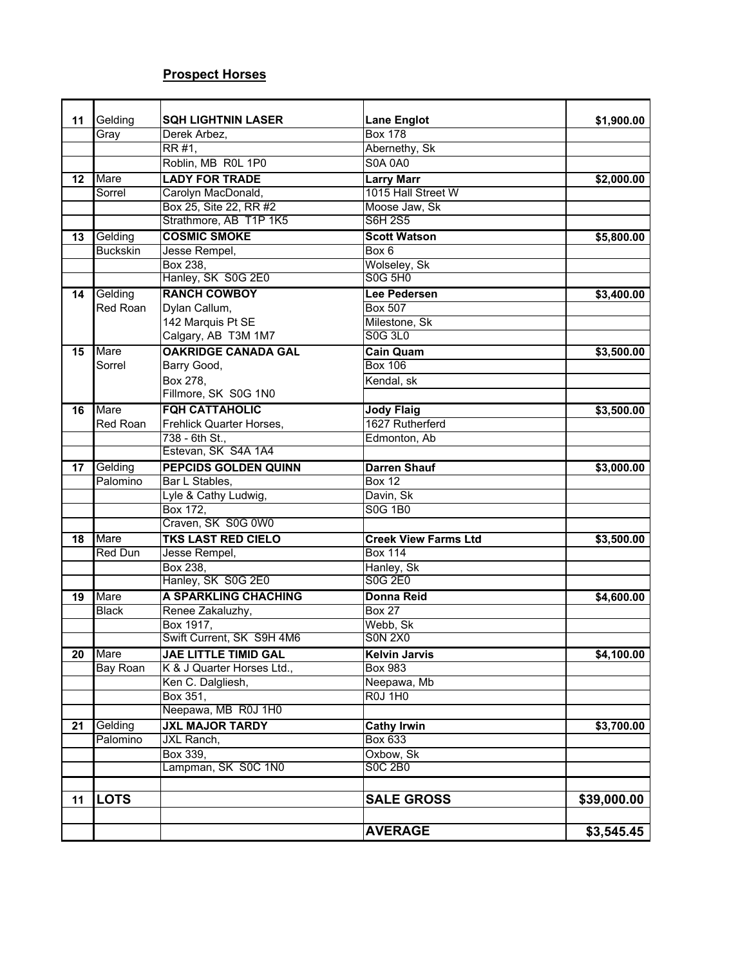## **Prospect Horses**

| 11 | Gelding         | <b>SQH LIGHTNIN LASER</b>                       | <b>Lane Englot</b>          | \$1,900.00  |
|----|-----------------|-------------------------------------------------|-----------------------------|-------------|
|    | Gray            | Derek Arbez,                                    | <b>Box 178</b>              |             |
|    |                 | RR #1,                                          | Abernethy, Sk               |             |
|    |                 | Roblin, MB ROL 1P0                              | <b>S0A 0A0</b>              |             |
|    | Mare            | <b>LADY FOR TRADE</b>                           | <b>Larry Marr</b>           |             |
| 12 |                 | Carolyn MacDonald,                              | 1015 Hall Street W          | \$2,000.00  |
|    | Sorrel          | Box 25, Site 22, RR #2                          | Moose Jaw, Sk               |             |
|    |                 | Strathmore, AB T1P 1K5                          | <b>S6H 2S5</b>              |             |
|    |                 |                                                 |                             |             |
| 13 | Gelding         | <b>COSMIC SMOKE</b>                             | <b>Scott Watson</b>         | \$5,800.00  |
|    | <b>Buckskin</b> | Jesse Rempel,                                   | Box 6                       |             |
|    |                 | Box 238,                                        | Wolseley, Sk<br>S0G 5H0     |             |
|    |                 | Hanley, SK S0G 2E0                              |                             |             |
| 14 | Gelding         | <b>RANCH COWBOY</b>                             | Lee Pedersen                | \$3,400.00  |
|    | Red Roan        | Dylan Callum,                                   | <b>Box 507</b>              |             |
|    |                 | 142 Marquis Pt SE                               | Milestone, Sk               |             |
|    |                 | Calgary, AB T3M 1M7                             | <b>S0G 3L0</b>              |             |
| 15 | Mare            | <b>OAKRIDGE CANADA GAL</b>                      | <b>Cain Quam</b>            | \$3,500.00  |
|    | Sorrel          | Barry Good,                                     | <b>Box 106</b>              |             |
|    |                 | Box 278,                                        | Kendal, sk                  |             |
|    |                 | Fillmore, SK S0G 1N0                            |                             |             |
| 16 | <b>Mare</b>     | <b>FQH CATTAHOLIC</b>                           | <b>Jody Flaig</b>           | \$3,500.00  |
|    | Red Roan        | Frehlick Quarter Horses,                        | 1627 Rutherferd             |             |
|    |                 | 738 - 6th St.,                                  | Edmonton, Ab                |             |
|    |                 | Estevan, SK S4A 1A4                             |                             |             |
| 17 | Gelding         | <b>PEPCIDS GOLDEN QUINN</b>                     | <b>Darren Shauf</b>         | \$3,000.00  |
|    | Palomino        | Bar L Stables,                                  | <b>Box 12</b>               |             |
|    |                 | Lyle & Cathy Ludwig,                            | Davin, Sk                   |             |
|    |                 | Box 172,                                        | <b>S0G 1B0</b>              |             |
|    |                 | Craven, SK S0G 0W0                              |                             |             |
| 18 | Mare            | <b>TKS LAST RED CIELO</b>                       | <b>Creek View Farms Ltd</b> | \$3,500.00  |
|    | Red Dun         | Jesse Rempel,                                   | <b>Box 114</b>              |             |
|    |                 | Box 238,                                        | Hanley, Sk                  |             |
|    |                 | Hanley, SK S0G 2E0                              | <b>S0G 2E0</b>              |             |
| 19 | Mare            | <b>A SPARKLING CHACHING</b>                     | <b>Donna Reid</b>           | \$4,600.00  |
|    | <b>Black</b>    | Renee Zakaluzhy,                                | <b>Box 27</b>               |             |
|    |                 | Box 1917,                                       | Webb, Sk                    |             |
|    |                 | Swift Current, SK S9H 4M6                       | <b>SON 2X0</b>              |             |
|    | Mare            |                                                 | <b>Kelvin Jarvis</b>        |             |
| 20 | <b>Bay Roan</b> | <b>JAE LITTLE TIMID GAL</b>                     | <b>Box 983</b>              | \$4,100.00  |
|    |                 | K & J Quarter Horses Ltd.,<br>Ken C. Dalgliesh, | Neepawa, Mb                 |             |
|    |                 |                                                 |                             |             |
|    |                 | Box 351,                                        | <b>R0J 1H0</b>              |             |
|    |                 | Neepawa, MB R0J 1H0                             |                             |             |
| 21 | Gelding         | <b>JXL MAJOR TARDY</b>                          | <b>Cathy Irwin</b>          | \$3,700.00  |
|    | Palomino        | JXL Ranch,                                      | Box 633                     |             |
|    |                 | Box 339,                                        | Oxbow, Sk                   |             |
|    |                 | Lampman, SK S0C 1N0                             | <b>SOC 2B0</b>              |             |
|    |                 |                                                 |                             |             |
| 11 | <b>LOTS</b>     |                                                 | <b>SALE GROSS</b>           | \$39,000.00 |
|    |                 |                                                 |                             |             |
|    |                 |                                                 | <b>AVERAGE</b>              | \$3,545.45  |
|    |                 |                                                 |                             |             |